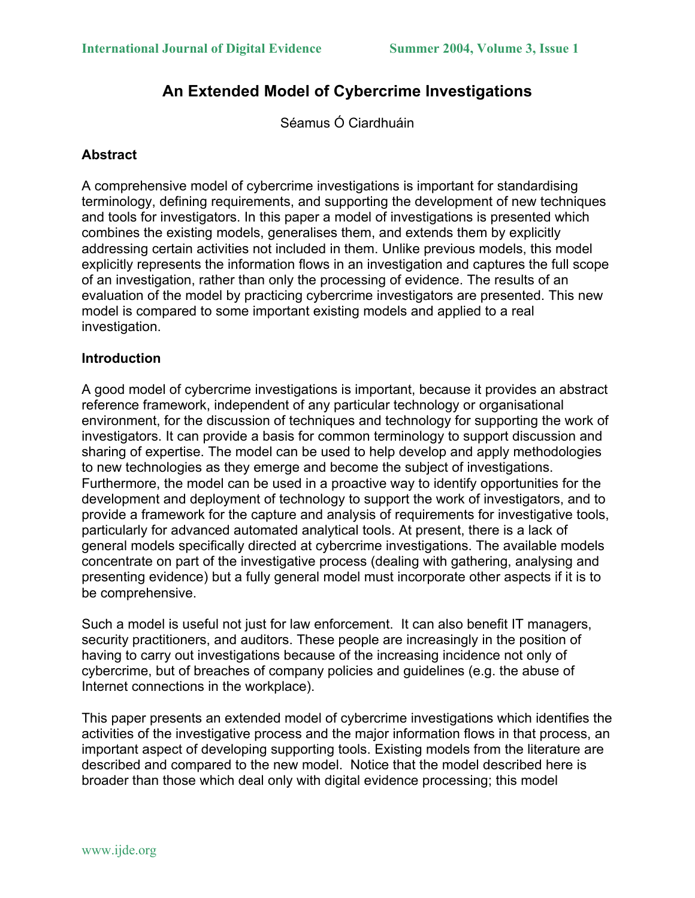# **An Extended Model of Cybercrime Investigations**

Séamus Ó Ciardhuáin

# **Abstract**

A comprehensive model of cybercrime investigations is important for standardising terminology, defining requirements, and supporting the development of new techniques and tools for investigators. In this paper a model of investigations is presented which combines the existing models, generalises them, and extends them by explicitly addressing certain activities not included in them. Unlike previous models, this model explicitly represents the information flows in an investigation and captures the full scope of an investigation, rather than only the processing of evidence. The results of an evaluation of the model by practicing cybercrime investigators are presented. This new model is compared to some important existing models and applied to a real investigation.

# **Introduction**

A good model of cybercrime investigations is important, because it provides an abstract reference framework, independent of any particular technology or organisational environment, for the discussion of techniques and technology for supporting the work of investigators. It can provide a basis for common terminology to support discussion and sharing of expertise. The model can be used to help develop and apply methodologies to new technologies as they emerge and become the subject of investigations. Furthermore, the model can be used in a proactive way to identify opportunities for the development and deployment of technology to support the work of investigators, and to provide a framework for the capture and analysis of requirements for investigative tools, particularly for advanced automated analytical tools. At present, there is a lack of general models specifically directed at cybercrime investigations. The available models concentrate on part of the investigative process (dealing with gathering, analysing and presenting evidence) but a fully general model must incorporate other aspects if it is to be comprehensive.

Such a model is useful not just for law enforcement. It can also benefit IT managers, security practitioners, and auditors. These people are increasingly in the position of having to carry out investigations because of the increasing incidence not only of cybercrime, but of breaches of company policies and guidelines (e.g. the abuse of Internet connections in the workplace).

This paper presents an extended model of cybercrime investigations which identifies the activities of the investigative process and the major information flows in that process, an important aspect of developing supporting tools. Existing models from the literature are described and compared to the new model. Notice that the model described here is broader than those which deal only with digital evidence processing; this model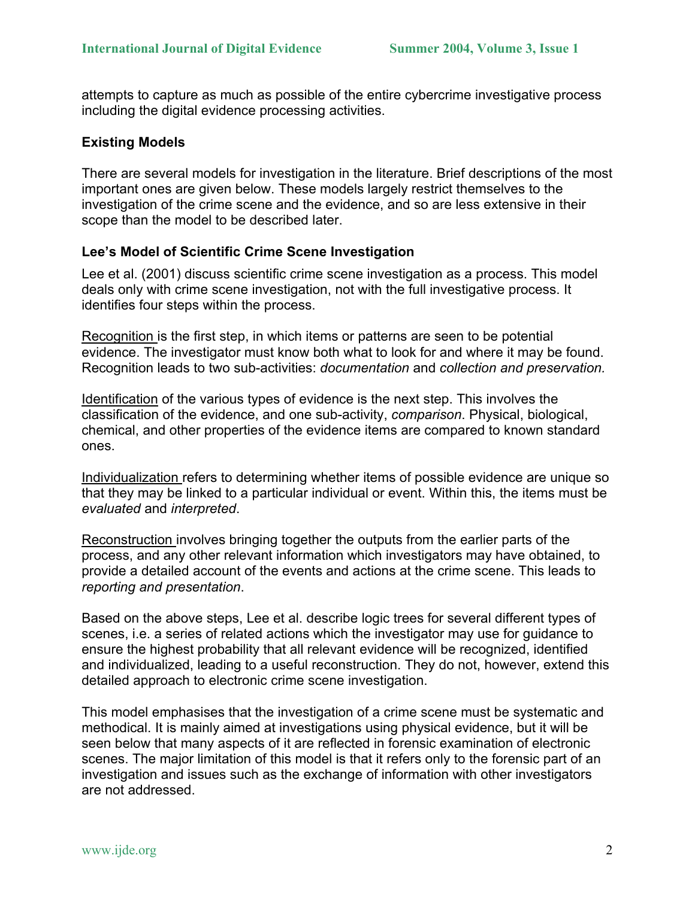attempts to capture as much as possible of the entire cybercrime investigative process including the digital evidence processing activities.

#### **Existing Models**

There are several models for investigation in the literature. Brief descriptions of the most important ones are given below. These models largely restrict themselves to the investigation of the crime scene and the evidence, and so are less extensive in their scope than the model to be described later.

#### **Lee's Model of Scientific Crime Scene Investigation**

Lee et al. (2001) discuss scientific crime scene investigation as a process. This model deals only with crime scene investigation, not with the full investigative process. It identifies four steps within the process.

Recognition is the first step, in which items or patterns are seen to be potential evidence. The investigator must know both what to look for and where it may be found. Recognition leads to two sub-activities: *documentation* and *collection and preservation.*

Identification of the various types of evidence is the next step. This involves the classification of the evidence, and one sub-activity, *comparison*. Physical, biological, chemical, and other properties of the evidence items are compared to known standard ones.

Individualization refers to determining whether items of possible evidence are unique so that they may be linked to a particular individual or event. Within this, the items must be *evaluated* and *interpreted*.

Reconstruction involves bringing together the outputs from the earlier parts of the process, and any other relevant information which investigators may have obtained, to provide a detailed account of the events and actions at the crime scene. This leads to *reporting and presentation*.

Based on the above steps, Lee et al. describe logic trees for several different types of scenes, i.e. a series of related actions which the investigator may use for guidance to ensure the highest probability that all relevant evidence will be recognized, identified and individualized, leading to a useful reconstruction. They do not, however, extend this detailed approach to electronic crime scene investigation.

This model emphasises that the investigation of a crime scene must be systematic and methodical. It is mainly aimed at investigations using physical evidence, but it will be seen below that many aspects of it are reflected in forensic examination of electronic scenes. The major limitation of this model is that it refers only to the forensic part of an investigation and issues such as the exchange of information with other investigators are not addressed.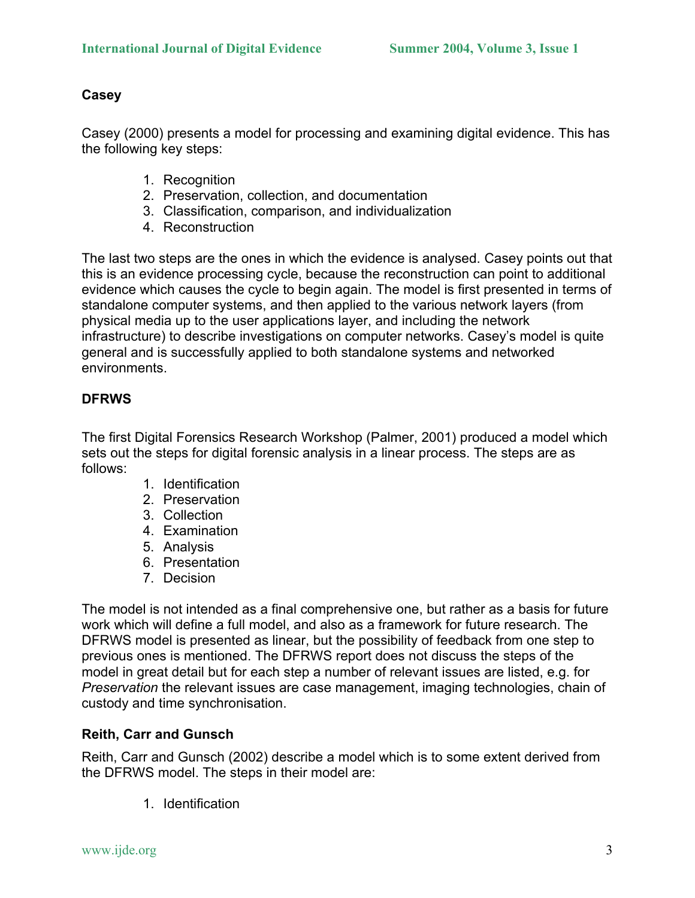# **Casey**

Casey (2000) presents a model for processing and examining digital evidence. This has the following key steps:

- 1. Recognition
- 2. Preservation, collection, and documentation
- 3. Classification, comparison, and individualization
- 4. Reconstruction

The last two steps are the ones in which the evidence is analysed. Casey points out that this is an evidence processing cycle, because the reconstruction can point to additional evidence which causes the cycle to begin again. The model is first presented in terms of standalone computer systems, and then applied to the various network layers (from physical media up to the user applications layer, and including the network infrastructure) to describe investigations on computer networks. Casey's model is quite general and is successfully applied to both standalone systems and networked environments.

# **DFRWS**

The first Digital Forensics Research Workshop (Palmer, 2001) produced a model which sets out the steps for digital forensic analysis in a linear process. The steps are as follows:

- 1. Identification
- 2. Preservation
- 3. Collection
- 4. Examination
- 5. Analysis
- 6. Presentation
- 7. Decision

The model is not intended as a final comprehensive one, but rather as a basis for future work which will define a full model, and also as a framework for future research. The DFRWS model is presented as linear, but the possibility of feedback from one step to previous ones is mentioned. The DFRWS report does not discuss the steps of the model in great detail but for each step a number of relevant issues are listed, e.g. for *Preservation* the relevant issues are case management, imaging technologies, chain of custody and time synchronisation.

# **Reith, Carr and Gunsch**

Reith, Carr and Gunsch (2002) describe a model which is to some extent derived from the DFRWS model. The steps in their model are:

1. Identification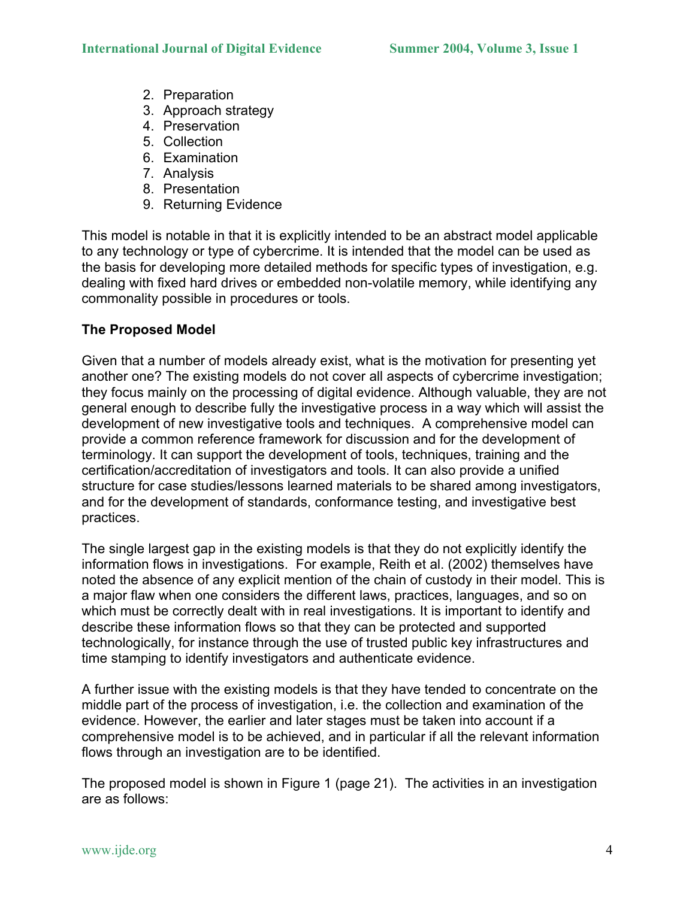- 2. Preparation
- 3. Approach strategy
- 4. Preservation
- 5. Collection
- 6. Examination
- 7. Analysis
- 8. Presentation
- 9. Returning Evidence

This model is notable in that it is explicitly intended to be an abstract model applicable to any technology or type of cybercrime. It is intended that the model can be used as the basis for developing more detailed methods for specific types of investigation, e.g. dealing with fixed hard drives or embedded non-volatile memory, while identifying any commonality possible in procedures or tools.

# **The Proposed Model**

Given that a number of models already exist, what is the motivation for presenting yet another one? The existing models do not cover all aspects of cybercrime investigation; they focus mainly on the processing of digital evidence. Although valuable, they are not general enough to describe fully the investigative process in a way which will assist the development of new investigative tools and techniques. A comprehensive model can provide a common reference framework for discussion and for the development of terminology. It can support the development of tools, techniques, training and the certification/accreditation of investigators and tools. It can also provide a unified structure for case studies/lessons learned materials to be shared among investigators, and for the development of standards, conformance testing, and investigative best practices.

The single largest gap in the existing models is that they do not explicitly identify the information flows in investigations. For example, Reith et al. (2002) themselves have noted the absence of any explicit mention of the chain of custody in their model. This is a major flaw when one considers the different laws, practices, languages, and so on which must be correctly dealt with in real investigations. It is important to identify and describe these information flows so that they can be protected and supported technologically, for instance through the use of trusted public key infrastructures and time stamping to identify investigators and authenticate evidence.

A further issue with the existing models is that they have tended to concentrate on the middle part of the process of investigation, i.e. the collection and examination of the evidence. However, the earlier and later stages must be taken into account if a comprehensive model is to be achieved, and in particular if all the relevant information flows through an investigation are to be identified.

The proposed model is shown in Figure 1 (page 21). The activities in an investigation are as follows: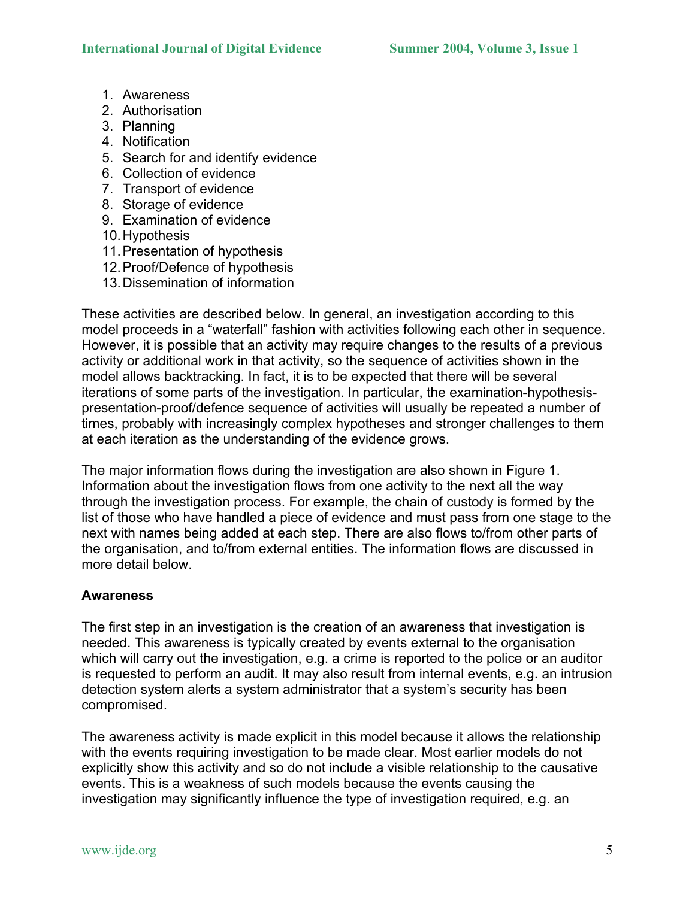- 1. Awareness
- 2. Authorisation
- 3. Planning
- 4. Notification
- 5. Search for and identify evidence
- 6. Collection of evidence
- 7. Transport of evidence
- 8. Storage of evidence
- 9. Examination of evidence
- 10. Hypothesis
- 11. Presentation of hypothesis
- 12. Proof/Defence of hypothesis
- 13. Dissemination of information

These activities are described below. In general, an investigation according to this model proceeds in a "waterfall" fashion with activities following each other in sequence. However, it is possible that an activity may require changes to the results of a previous activity or additional work in that activity, so the sequence of activities shown in the model allows backtracking. In fact, it is to be expected that there will be several iterations of some parts of the investigation. In particular, the examination-hypothesispresentation-proof/defence sequence of activities will usually be repeated a number of times, probably with increasingly complex hypotheses and stronger challenges to them at each iteration as the understanding of the evidence grows.

The major information flows during the investigation are also shown in Figure 1. Information about the investigation flows from one activity to the next all the way through the investigation process. For example, the chain of custody is formed by the list of those who have handled a piece of evidence and must pass from one stage to the next with names being added at each step. There are also flows to/from other parts of the organisation, and to/from external entities. The information flows are discussed in more detail below.

# **Awareness**

The first step in an investigation is the creation of an awareness that investigation is needed. This awareness is typically created by events external to the organisation which will carry out the investigation, e.g. a crime is reported to the police or an auditor is requested to perform an audit. It may also result from internal events, e.g. an intrusion detection system alerts a system administrator that a system's security has been compromised.

The awareness activity is made explicit in this model because it allows the relationship with the events requiring investigation to be made clear. Most earlier models do not explicitly show this activity and so do not include a visible relationship to the causative events. This is a weakness of such models because the events causing the investigation may significantly influence the type of investigation required, e.g. an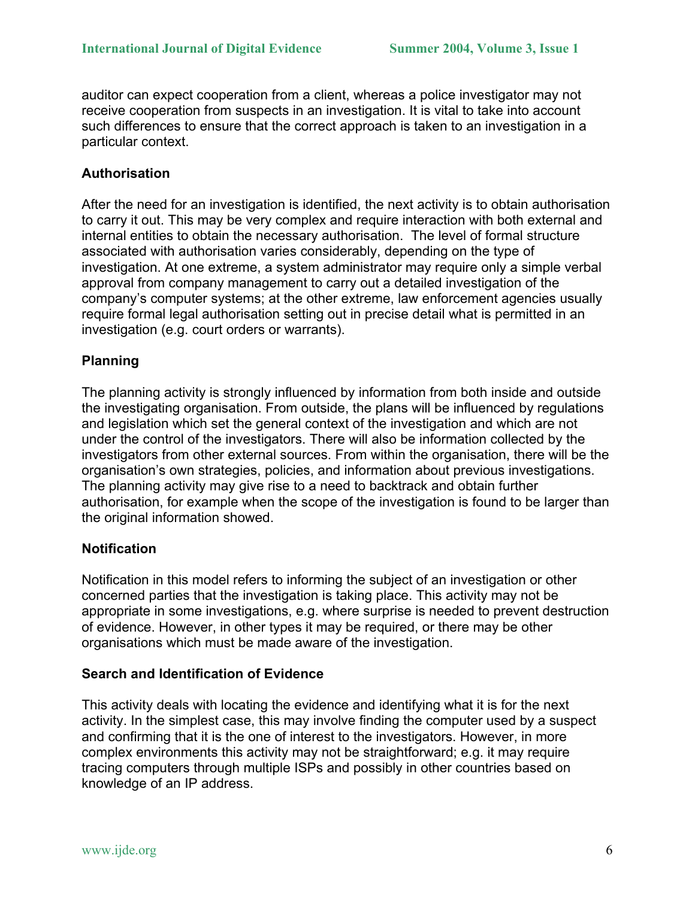auditor can expect cooperation from a client, whereas a police investigator may not receive cooperation from suspects in an investigation. It is vital to take into account such differences to ensure that the correct approach is taken to an investigation in a particular context.

# **Authorisation**

After the need for an investigation is identified, the next activity is to obtain authorisation to carry it out. This may be very complex and require interaction with both external and internal entities to obtain the necessary authorisation. The level of formal structure associated with authorisation varies considerably, depending on the type of investigation. At one extreme, a system administrator may require only a simple verbal approval from company management to carry out a detailed investigation of the company's computer systems; at the other extreme, law enforcement agencies usually require formal legal authorisation setting out in precise detail what is permitted in an investigation (e.g. court orders or warrants).

# **Planning**

The planning activity is strongly influenced by information from both inside and outside the investigating organisation. From outside, the plans will be influenced by regulations and legislation which set the general context of the investigation and which are not under the control of the investigators. There will also be information collected by the investigators from other external sources. From within the organisation, there will be the organisation's own strategies, policies, and information about previous investigations. The planning activity may give rise to a need to backtrack and obtain further authorisation, for example when the scope of the investigation is found to be larger than the original information showed.

# **Notification**

Notification in this model refers to informing the subject of an investigation or other concerned parties that the investigation is taking place. This activity may not be appropriate in some investigations, e.g. where surprise is needed to prevent destruction of evidence. However, in other types it may be required, or there may be other organisations which must be made aware of the investigation.

# **Search and Identification of Evidence**

This activity deals with locating the evidence and identifying what it is for the next activity. In the simplest case, this may involve finding the computer used by a suspect and confirming that it is the one of interest to the investigators. However, in more complex environments this activity may not be straightforward; e.g. it may require tracing computers through multiple ISPs and possibly in other countries based on knowledge of an IP address.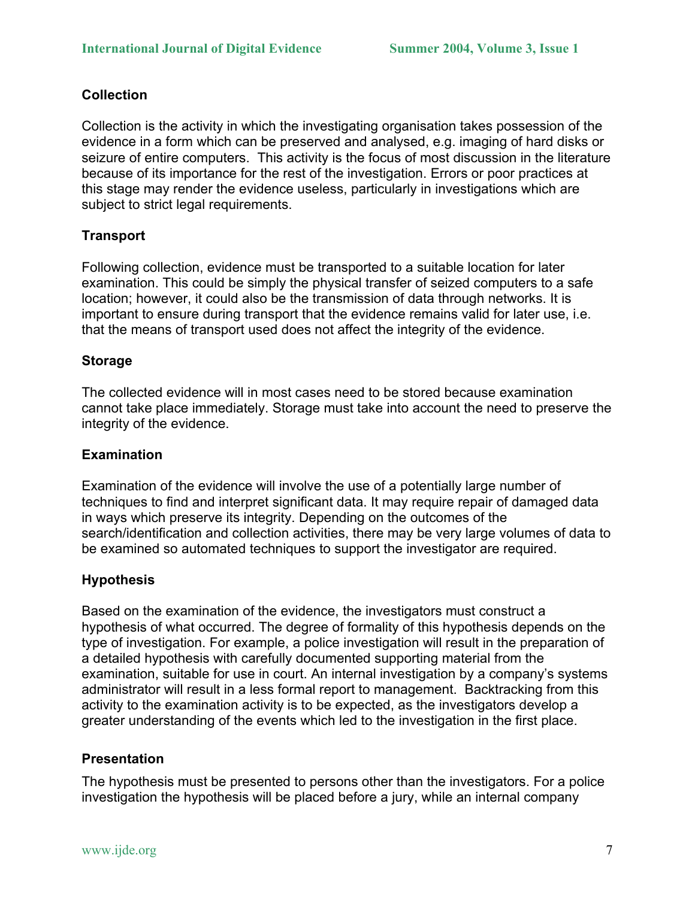# **Collection**

Collection is the activity in which the investigating organisation takes possession of the evidence in a form which can be preserved and analysed, e.g. imaging of hard disks or seizure of entire computers. This activity is the focus of most discussion in the literature because of its importance for the rest of the investigation. Errors or poor practices at this stage may render the evidence useless, particularly in investigations which are subject to strict legal requirements.

# **Transport**

Following collection, evidence must be transported to a suitable location for later examination. This could be simply the physical transfer of seized computers to a safe location; however, it could also be the transmission of data through networks. It is important to ensure during transport that the evidence remains valid for later use, i.e. that the means of transport used does not affect the integrity of the evidence.

# **Storage**

The collected evidence will in most cases need to be stored because examination cannot take place immediately. Storage must take into account the need to preserve the integrity of the evidence.

### **Examination**

Examination of the evidence will involve the use of a potentially large number of techniques to find and interpret significant data. It may require repair of damaged data in ways which preserve its integrity. Depending on the outcomes of the search/identification and collection activities, there may be very large volumes of data to be examined so automated techniques to support the investigator are required.

# **Hypothesis**

Based on the examination of the evidence, the investigators must construct a hypothesis of what occurred. The degree of formality of this hypothesis depends on the type of investigation. For example, a police investigation will result in the preparation of a detailed hypothesis with carefully documented supporting material from the examination, suitable for use in court. An internal investigation by a company's systems administrator will result in a less formal report to management. Backtracking from this activity to the examination activity is to be expected, as the investigators develop a greater understanding of the events which led to the investigation in the first place.

#### **Presentation**

The hypothesis must be presented to persons other than the investigators. For a police investigation the hypothesis will be placed before a jury, while an internal company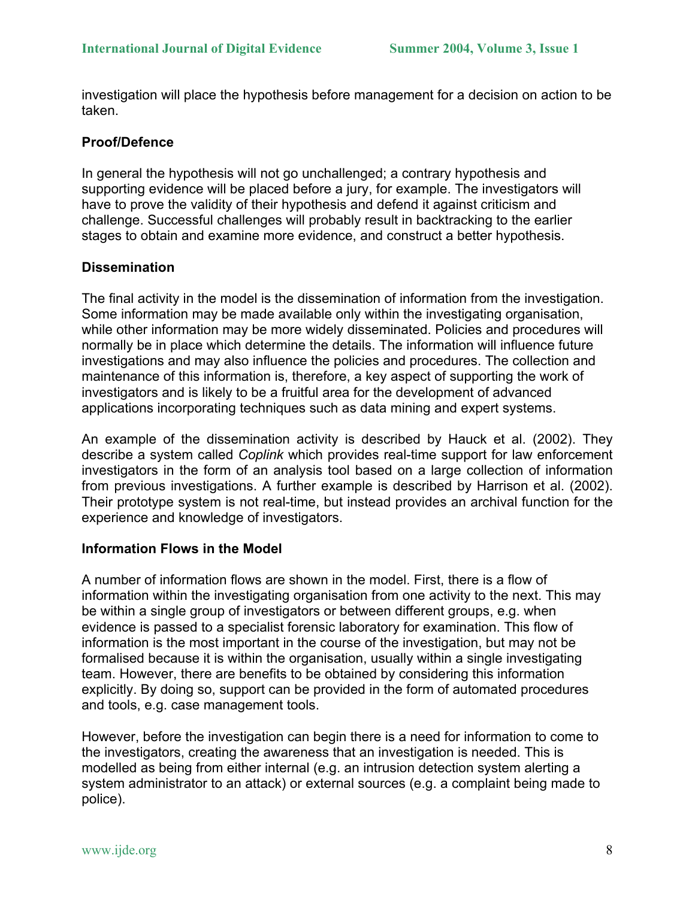investigation will place the hypothesis before management for a decision on action to be taken.

# **Proof/Defence**

In general the hypothesis will not go unchallenged; a contrary hypothesis and supporting evidence will be placed before a jury, for example. The investigators will have to prove the validity of their hypothesis and defend it against criticism and challenge. Successful challenges will probably result in backtracking to the earlier stages to obtain and examine more evidence, and construct a better hypothesis.

#### **Dissemination**

The final activity in the model is the dissemination of information from the investigation. Some information may be made available only within the investigating organisation, while other information may be more widely disseminated. Policies and procedures will normally be in place which determine the details. The information will influence future investigations and may also influence the policies and procedures. The collection and maintenance of this information is, therefore, a key aspect of supporting the work of investigators and is likely to be a fruitful area for the development of advanced applications incorporating techniques such as data mining and expert systems.

An example of the dissemination activity is described by Hauck et al. (2002). They describe a system called *Coplink* which provides real-time support for law enforcement investigators in the form of an analysis tool based on a large collection of information from previous investigations. A further example is described by Harrison et al. (2002). Their prototype system is not real-time, but instead provides an archival function for the experience and knowledge of investigators.

#### **Information Flows in the Model**

A number of information flows are shown in the model. First, there is a flow of information within the investigating organisation from one activity to the next. This may be within a single group of investigators or between different groups, e.g. when evidence is passed to a specialist forensic laboratory for examination. This flow of information is the most important in the course of the investigation, but may not be formalised because it is within the organisation, usually within a single investigating team. However, there are benefits to be obtained by considering this information explicitly. By doing so, support can be provided in the form of automated procedures and tools, e.g. case management tools.

However, before the investigation can begin there is a need for information to come to the investigators, creating the awareness that an investigation is needed. This is modelled as being from either internal (e.g. an intrusion detection system alerting a system administrator to an attack) or external sources (e.g. a complaint being made to police).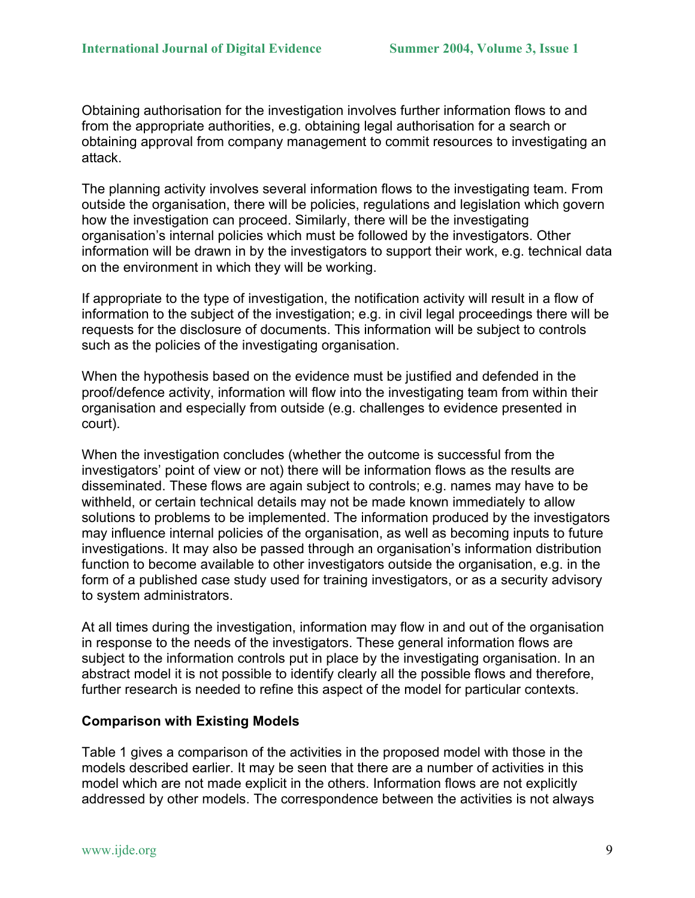Obtaining authorisation for the investigation involves further information flows to and from the appropriate authorities, e.g. obtaining legal authorisation for a search or obtaining approval from company management to commit resources to investigating an attack.

The planning activity involves several information flows to the investigating team. From outside the organisation, there will be policies, regulations and legislation which govern how the investigation can proceed. Similarly, there will be the investigating organisation's internal policies which must be followed by the investigators. Other information will be drawn in by the investigators to support their work, e.g. technical data on the environment in which they will be working.

If appropriate to the type of investigation, the notification activity will result in a flow of information to the subject of the investigation; e.g. in civil legal proceedings there will be requests for the disclosure of documents. This information will be subject to controls such as the policies of the investigating organisation.

When the hypothesis based on the evidence must be justified and defended in the proof/defence activity, information will flow into the investigating team from within their organisation and especially from outside (e.g. challenges to evidence presented in court).

When the investigation concludes (whether the outcome is successful from the investigators' point of view or not) there will be information flows as the results are disseminated. These flows are again subject to controls; e.g. names may have to be withheld, or certain technical details may not be made known immediately to allow solutions to problems to be implemented. The information produced by the investigators may influence internal policies of the organisation, as well as becoming inputs to future investigations. It may also be passed through an organisation's information distribution function to become available to other investigators outside the organisation, e.g. in the form of a published case study used for training investigators, or as a security advisory to system administrators.

At all times during the investigation, information may flow in and out of the organisation in response to the needs of the investigators. These general information flows are subject to the information controls put in place by the investigating organisation. In an abstract model it is not possible to identify clearly all the possible flows and therefore, further research is needed to refine this aspect of the model for particular contexts.

#### **Comparison with Existing Models**

Table 1 gives a comparison of the activities in the proposed model with those in the models described earlier. It may be seen that there are a number of activities in this model which are not made explicit in the others. Information flows are not explicitly addressed by other models. The correspondence between the activities is not always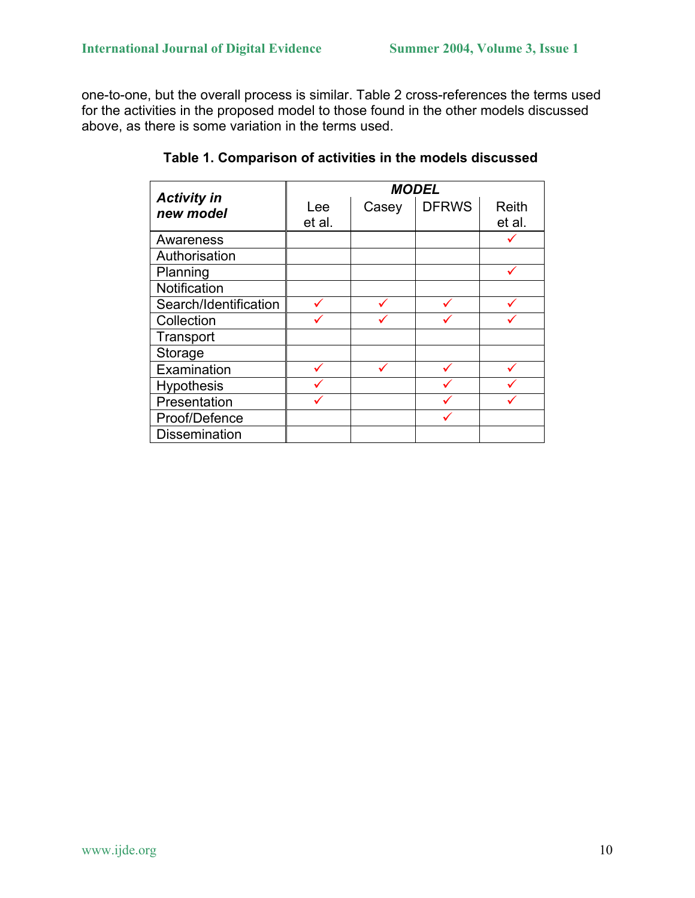one-to-one, but the overall process is similar. Table 2 cross-references the terms used for the activities in the proposed model to those found in the other models discussed above, as there is some variation in the terms used.

| <b>Activity in</b>    | <b>MODEL</b> |       |              |              |  |  |
|-----------------------|--------------|-------|--------------|--------------|--|--|
| new model             | Lee          | Casey | <b>DFRWS</b> | <b>Reith</b> |  |  |
|                       | et al.       |       |              | et al.       |  |  |
| Awareness             |              |       |              |              |  |  |
| Authorisation         |              |       |              |              |  |  |
| Planning              |              |       |              |              |  |  |
| Notification          |              |       |              |              |  |  |
| Search/Identification |              |       |              |              |  |  |
| Collection            |              |       |              |              |  |  |
| Transport             |              |       |              |              |  |  |
| Storage               |              |       |              |              |  |  |
| Examination           |              |       |              |              |  |  |
| Hypothesis            |              |       |              |              |  |  |
| Presentation          |              |       |              |              |  |  |
| Proof/Defence         |              |       |              |              |  |  |
| <b>Dissemination</b>  |              |       |              |              |  |  |

**Table 1. Comparison of activities in the models discussed**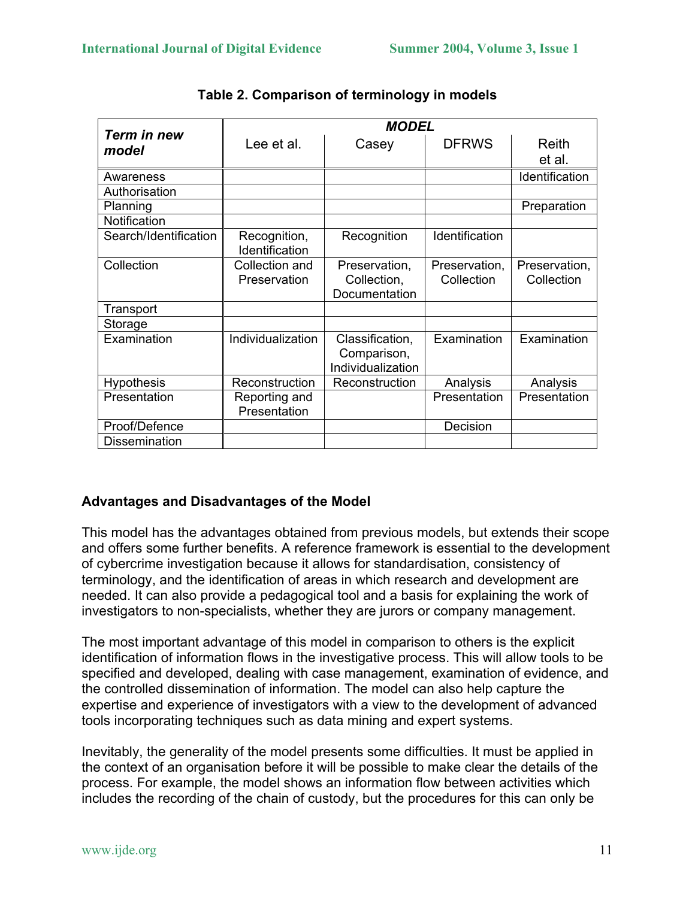|                       | <b>MODEL</b>                   |                                                     |                             |                             |  |  |
|-----------------------|--------------------------------|-----------------------------------------------------|-----------------------------|-----------------------------|--|--|
| Term in new<br>model  | Lee et al.                     | Casey                                               | <b>DFRWS</b>                | Reith                       |  |  |
|                       |                                |                                                     |                             | et al.                      |  |  |
| Awareness             |                                |                                                     |                             | Identification              |  |  |
| Authorisation         |                                |                                                     |                             |                             |  |  |
| Planning              |                                |                                                     |                             | Preparation                 |  |  |
| Notification          |                                |                                                     |                             |                             |  |  |
| Search/Identification | Recognition,<br>Identification | Recognition                                         | Identification              |                             |  |  |
| Collection            | Collection and<br>Preservation | Preservation,<br>Collection,<br>Documentation       | Preservation,<br>Collection | Preservation,<br>Collection |  |  |
| Transport             |                                |                                                     |                             |                             |  |  |
| Storage               |                                |                                                     |                             |                             |  |  |
| Examination           | Individualization              | Classification,<br>Comparison,<br>Individualization | Examination                 | Examination                 |  |  |
| <b>Hypothesis</b>     | Reconstruction                 | Reconstruction                                      | Analysis                    | Analysis                    |  |  |
| Presentation          | Reporting and<br>Presentation  |                                                     | Presentation                | Presentation                |  |  |
| Proof/Defence         |                                |                                                     | Decision                    |                             |  |  |
| <b>Dissemination</b>  |                                |                                                     |                             |                             |  |  |

**Table 2. Comparison of terminology in models**

# **Advantages and Disadvantages of the Model**

This model has the advantages obtained from previous models, but extends their scope and offers some further benefits. A reference framework is essential to the development of cybercrime investigation because it allows for standardisation, consistency of terminology, and the identification of areas in which research and development are needed. It can also provide a pedagogical tool and a basis for explaining the work of investigators to non-specialists, whether they are jurors or company management.

The most important advantage of this model in comparison to others is the explicit identification of information flows in the investigative process. This will allow tools to be specified and developed, dealing with case management, examination of evidence, and the controlled dissemination of information. The model can also help capture the expertise and experience of investigators with a view to the development of advanced tools incorporating techniques such as data mining and expert systems.

Inevitably, the generality of the model presents some difficulties. It must be applied in the context of an organisation before it will be possible to make clear the details of the process. For example, the model shows an information flow between activities which includes the recording of the chain of custody, but the procedures for this can only be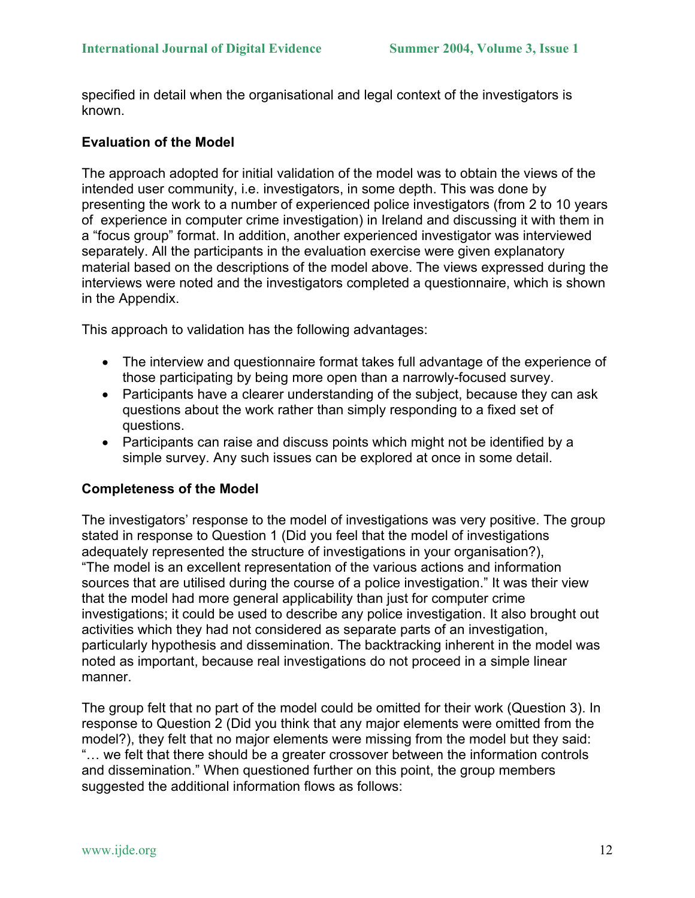specified in detail when the organisational and legal context of the investigators is known.

### **Evaluation of the Model**

The approach adopted for initial validation of the model was to obtain the views of the intended user community, i.e. investigators, in some depth. This was done by presenting the work to a number of experienced police investigators (from 2 to 10 years of experience in computer crime investigation) in Ireland and discussing it with them in a "focus group" format. In addition, another experienced investigator was interviewed separately. All the participants in the evaluation exercise were given explanatory material based on the descriptions of the model above. The views expressed during the interviews were noted and the investigators completed a questionnaire, which is shown in the Appendix.

This approach to validation has the following advantages:

- The interview and questionnaire format takes full advantage of the experience of those participating by being more open than a narrowly-focused survey.
- Participants have a clearer understanding of the subject, because they can ask questions about the work rather than simply responding to a fixed set of questions.
- Participants can raise and discuss points which might not be identified by a simple survey. Any such issues can be explored at once in some detail.

#### **Completeness of the Model**

The investigators' response to the model of investigations was very positive. The group stated in response to Question 1 (Did you feel that the model of investigations adequately represented the structure of investigations in your organisation?), "The model is an excellent representation of the various actions and information sources that are utilised during the course of a police investigation." It was their view that the model had more general applicability than just for computer crime investigations; it could be used to describe any police investigation. It also brought out activities which they had not considered as separate parts of an investigation, particularly hypothesis and dissemination. The backtracking inherent in the model was noted as important, because real investigations do not proceed in a simple linear manner.

The group felt that no part of the model could be omitted for their work (Question 3). In response to Question 2 (Did you think that any major elements were omitted from the model?), they felt that no major elements were missing from the model but they said: "… we felt that there should be a greater crossover between the information controls and dissemination." When questioned further on this point, the group members suggested the additional information flows as follows: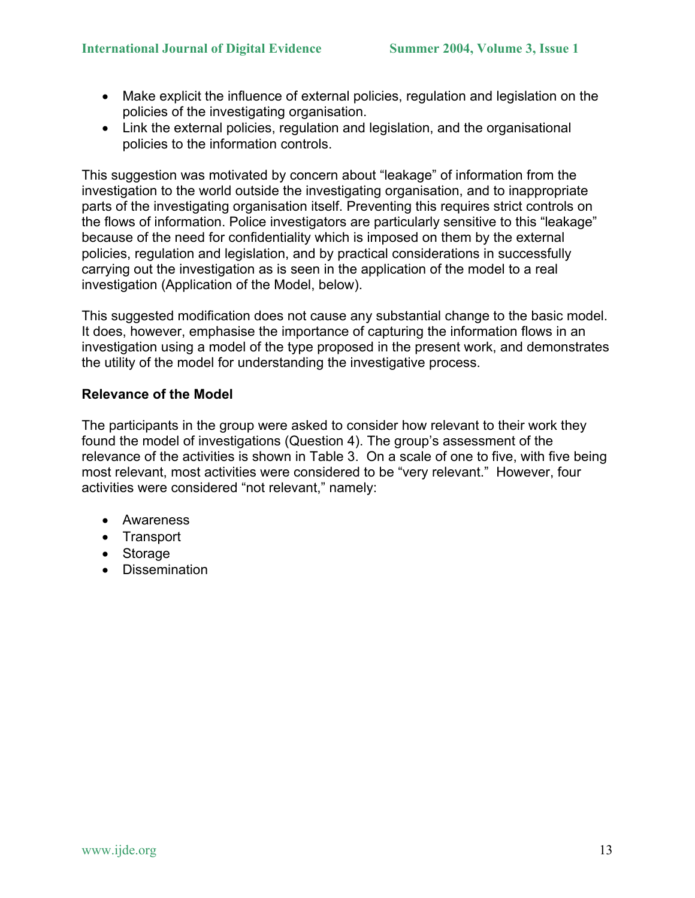- Make explicit the influence of external policies, regulation and legislation on the policies of the investigating organisation.
- Link the external policies, regulation and legislation, and the organisational policies to the information controls.

This suggestion was motivated by concern about "leakage" of information from the investigation to the world outside the investigating organisation, and to inappropriate parts of the investigating organisation itself. Preventing this requires strict controls on the flows of information. Police investigators are particularly sensitive to this "leakage" because of the need for confidentiality which is imposed on them by the external policies, regulation and legislation, and by practical considerations in successfully carrying out the investigation as is seen in the application of the model to a real investigation (Application of the Model, below).

This suggested modification does not cause any substantial change to the basic model. It does, however, emphasise the importance of capturing the information flows in an investigation using a model of the type proposed in the present work, and demonstrates the utility of the model for understanding the investigative process.

# **Relevance of the Model**

The participants in the group were asked to consider how relevant to their work they found the model of investigations (Question 4). The group's assessment of the relevance of the activities is shown in Table 3. On a scale of one to five, with five being most relevant, most activities were considered to be "very relevant." However, four activities were considered "not relevant," namely:

- Awareness
- Transport
- Storage
- Dissemination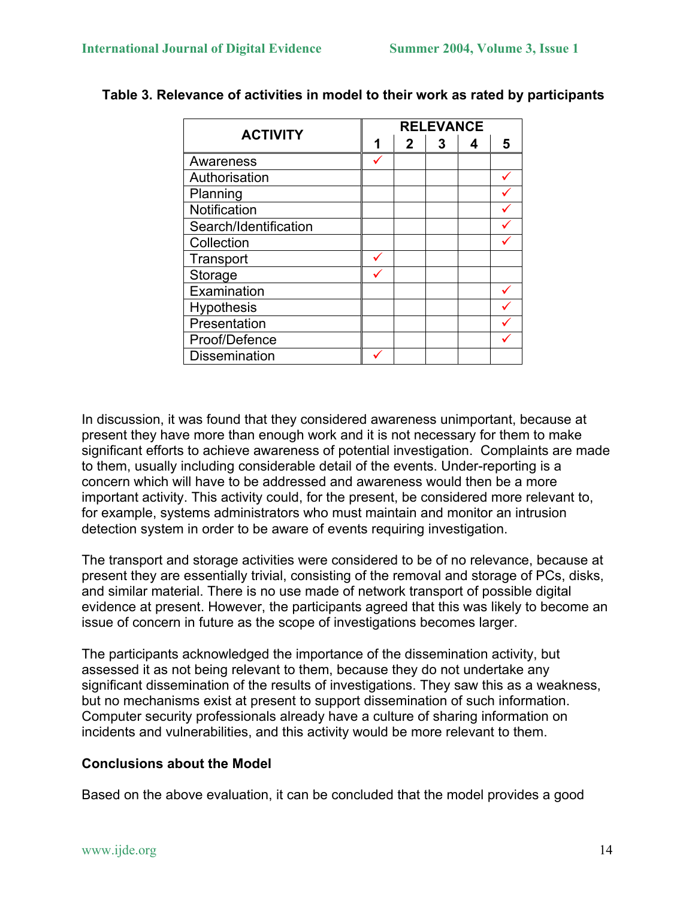| <b>ACTIVITY</b>       |   | <b>RELEVANCE</b> |   |  |   |  |
|-----------------------|---|------------------|---|--|---|--|
|                       | 1 | $\mathbf{2}$     | 3 |  | 5 |  |
| Awareness             |   |                  |   |  |   |  |
| Authorisation         |   |                  |   |  |   |  |
| Planning              |   |                  |   |  |   |  |
| Notification          |   |                  |   |  |   |  |
| Search/Identification |   |                  |   |  |   |  |
| Collection            |   |                  |   |  |   |  |
| Transport             |   |                  |   |  |   |  |
| Storage               |   |                  |   |  |   |  |
| Examination           |   |                  |   |  |   |  |
| Hypothesis            |   |                  |   |  |   |  |
| Presentation          |   |                  |   |  |   |  |
| Proof/Defence         |   |                  |   |  |   |  |
| <b>Dissemination</b>  |   |                  |   |  |   |  |

**Table 3. Relevance of activities in model to their work as rated by participants** 

In discussion, it was found that they considered awareness unimportant, because at present they have more than enough work and it is not necessary for them to make significant efforts to achieve awareness of potential investigation. Complaints are made to them, usually including considerable detail of the events. Under-reporting is a concern which will have to be addressed and awareness would then be a more important activity. This activity could, for the present, be considered more relevant to, for example, systems administrators who must maintain and monitor an intrusion detection system in order to be aware of events requiring investigation.

The transport and storage activities were considered to be of no relevance, because at present they are essentially trivial, consisting of the removal and storage of PCs, disks, and similar material. There is no use made of network transport of possible digital evidence at present. However, the participants agreed that this was likely to become an issue of concern in future as the scope of investigations becomes larger.

The participants acknowledged the importance of the dissemination activity, but assessed it as not being relevant to them, because they do not undertake any significant dissemination of the results of investigations. They saw this as a weakness, but no mechanisms exist at present to support dissemination of such information. Computer security professionals already have a culture of sharing information on incidents and vulnerabilities, and this activity would be more relevant to them.

# **Conclusions about the Model**

Based on the above evaluation, it can be concluded that the model provides a good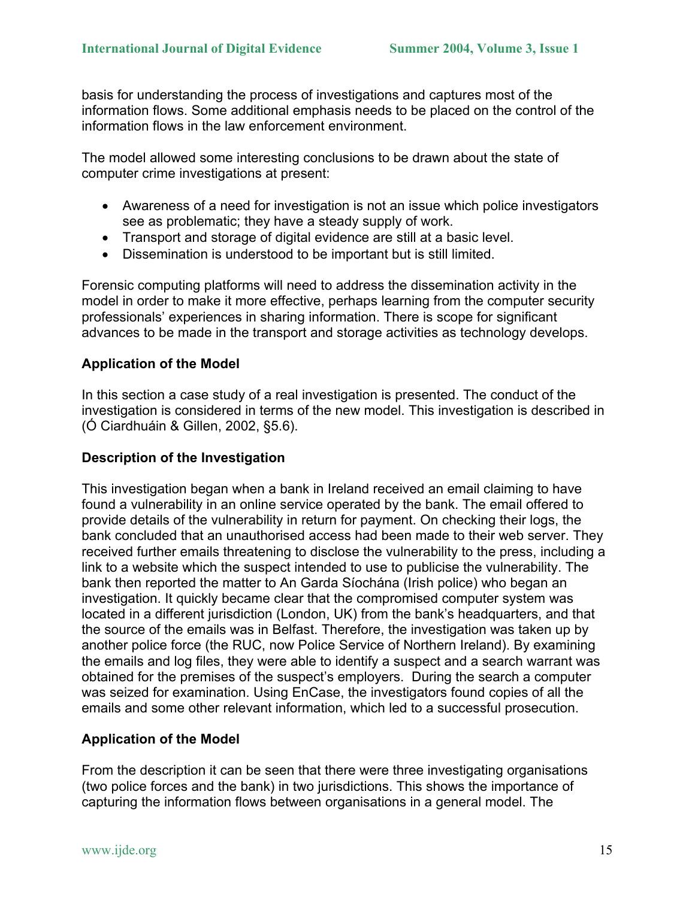basis for understanding the process of investigations and captures most of the information flows. Some additional emphasis needs to be placed on the control of the information flows in the law enforcement environment.

The model allowed some interesting conclusions to be drawn about the state of computer crime investigations at present:

- Awareness of a need for investigation is not an issue which police investigators see as problematic; they have a steady supply of work.
- Transport and storage of digital evidence are still at a basic level.
- Dissemination is understood to be important but is still limited.

Forensic computing platforms will need to address the dissemination activity in the model in order to make it more effective, perhaps learning from the computer security professionals' experiences in sharing information. There is scope for significant advances to be made in the transport and storage activities as technology develops.

# **Application of the Model**

In this section a case study of a real investigation is presented. The conduct of the investigation is considered in terms of the new model. This investigation is described in (Ó Ciardhuáin & Gillen, 2002, §5.6).

# **Description of the Investigation**

This investigation began when a bank in Ireland received an email claiming to have found a vulnerability in an online service operated by the bank. The email offered to provide details of the vulnerability in return for payment. On checking their logs, the bank concluded that an unauthorised access had been made to their web server. They received further emails threatening to disclose the vulnerability to the press, including a link to a website which the suspect intended to use to publicise the vulnerability. The bank then reported the matter to An Garda Síochána (Irish police) who began an investigation. It quickly became clear that the compromised computer system was located in a different jurisdiction (London, UK) from the bank's headquarters, and that the source of the emails was in Belfast. Therefore, the investigation was taken up by another police force (the RUC, now Police Service of Northern Ireland). By examining the emails and log files, they were able to identify a suspect and a search warrant was obtained for the premises of the suspect's employers. During the search a computer was seized for examination. Using EnCase, the investigators found copies of all the emails and some other relevant information, which led to a successful prosecution.

# **Application of the Model**

From the description it can be seen that there were three investigating organisations (two police forces and the bank) in two jurisdictions. This shows the importance of capturing the information flows between organisations in a general model. The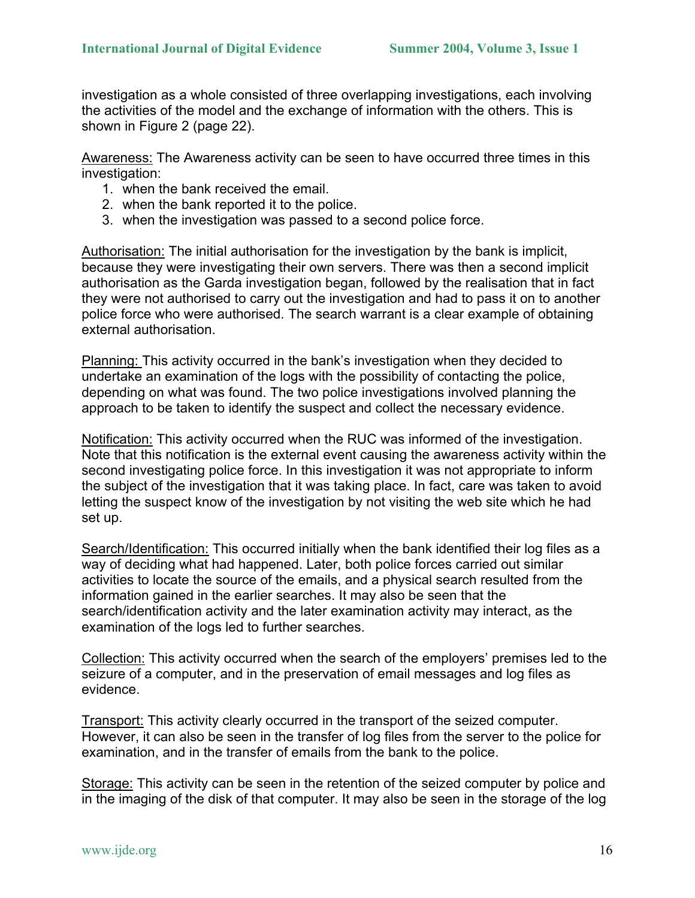investigation as a whole consisted of three overlapping investigations, each involving the activities of the model and the exchange of information with the others. This is shown in Figure 2 (page 22).

Awareness: The Awareness activity can be seen to have occurred three times in this investigation:

- 1. when the bank received the email.
- 2. when the bank reported it to the police.
- 3. when the investigation was passed to a second police force.

Authorisation: The initial authorisation for the investigation by the bank is implicit, because they were investigating their own servers. There was then a second implicit authorisation as the Garda investigation began, followed by the realisation that in fact they were not authorised to carry out the investigation and had to pass it on to another police force who were authorised. The search warrant is a clear example of obtaining external authorisation.

Planning: This activity occurred in the bank's investigation when they decided to undertake an examination of the logs with the possibility of contacting the police, depending on what was found. The two police investigations involved planning the approach to be taken to identify the suspect and collect the necessary evidence.

Notification: This activity occurred when the RUC was informed of the investigation. Note that this notification is the external event causing the awareness activity within the second investigating police force. In this investigation it was not appropriate to inform the subject of the investigation that it was taking place. In fact, care was taken to avoid letting the suspect know of the investigation by not visiting the web site which he had set up.

Search/Identification: This occurred initially when the bank identified their log files as a way of deciding what had happened. Later, both police forces carried out similar activities to locate the source of the emails, and a physical search resulted from the information gained in the earlier searches. It may also be seen that the search/identification activity and the later examination activity may interact, as the examination of the logs led to further searches.

Collection: This activity occurred when the search of the employers' premises led to the seizure of a computer, and in the preservation of email messages and log files as evidence.

Transport: This activity clearly occurred in the transport of the seized computer. However, it can also be seen in the transfer of log files from the server to the police for examination, and in the transfer of emails from the bank to the police.

Storage: This activity can be seen in the retention of the seized computer by police and in the imaging of the disk of that computer. It may also be seen in the storage of the log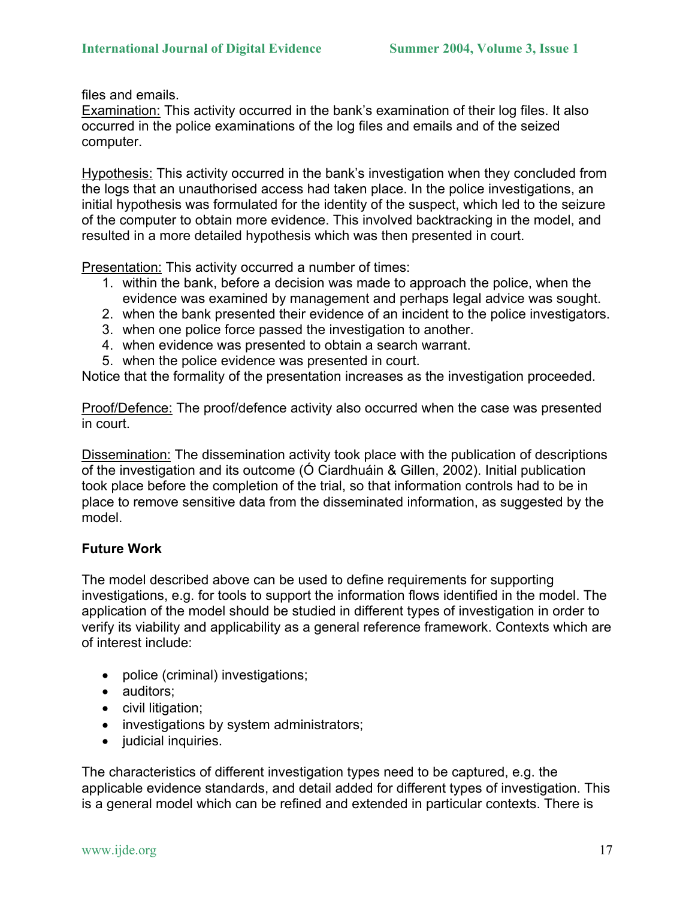files and emails.

Examination: This activity occurred in the bank's examination of their log files. It also occurred in the police examinations of the log files and emails and of the seized computer.

Hypothesis: This activity occurred in the bank's investigation when they concluded from the logs that an unauthorised access had taken place. In the police investigations, an initial hypothesis was formulated for the identity of the suspect, which led to the seizure of the computer to obtain more evidence. This involved backtracking in the model, and resulted in a more detailed hypothesis which was then presented in court.

Presentation: This activity occurred a number of times:

- 1. within the bank, before a decision was made to approach the police, when the evidence was examined by management and perhaps legal advice was sought.
- 2. when the bank presented their evidence of an incident to the police investigators.
- 3. when one police force passed the investigation to another.
- 4. when evidence was presented to obtain a search warrant.
- 5. when the police evidence was presented in court.

Notice that the formality of the presentation increases as the investigation proceeded.

Proof/Defence: The proof/defence activity also occurred when the case was presented in court.

Dissemination: The dissemination activity took place with the publication of descriptions of the investigation and its outcome (Ó Ciardhuáin & Gillen, 2002). Initial publication took place before the completion of the trial, so that information controls had to be in place to remove sensitive data from the disseminated information, as suggested by the model.

# **Future Work**

The model described above can be used to define requirements for supporting investigations, e.g. for tools to support the information flows identified in the model. The application of the model should be studied in different types of investigation in order to verify its viability and applicability as a general reference framework. Contexts which are of interest include:

- police (criminal) investigations;
- auditors;
- civil litigation;
- investigations by system administrators;
- judicial inquiries.

The characteristics of different investigation types need to be captured, e.g. the applicable evidence standards, and detail added for different types of investigation. This is a general model which can be refined and extended in particular contexts. There is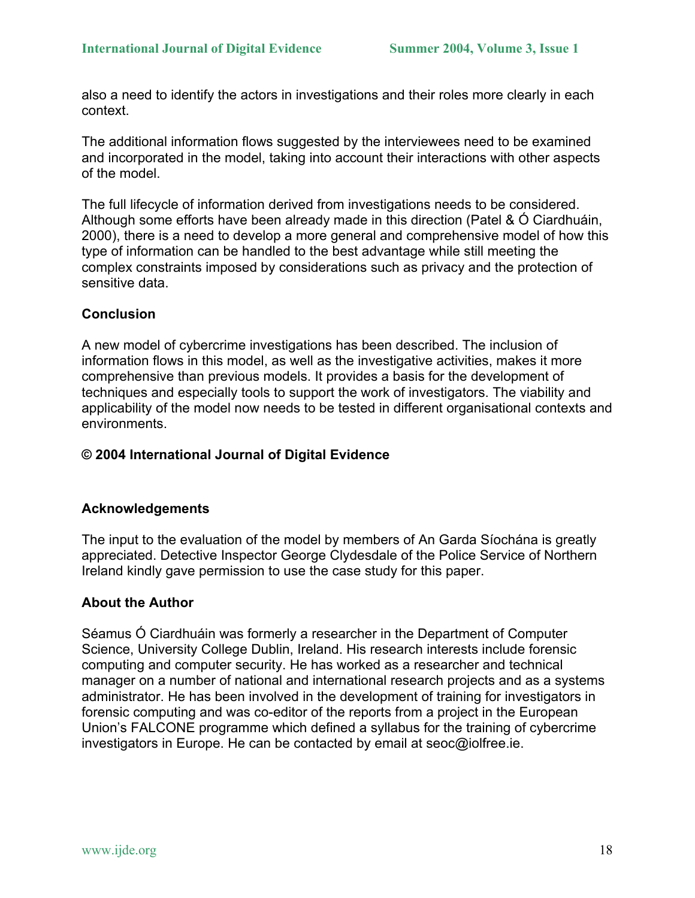also a need to identify the actors in investigations and their roles more clearly in each context.

The additional information flows suggested by the interviewees need to be examined and incorporated in the model, taking into account their interactions with other aspects of the model.

The full lifecycle of information derived from investigations needs to be considered. Although some efforts have been already made in this direction (Patel & Ó Ciardhuáin, 2000), there is a need to develop a more general and comprehensive model of how this type of information can be handled to the best advantage while still meeting the complex constraints imposed by considerations such as privacy and the protection of sensitive data.

# **Conclusion**

A new model of cybercrime investigations has been described. The inclusion of information flows in this model, as well as the investigative activities, makes it more comprehensive than previous models. It provides a basis for the development of techniques and especially tools to support the work of investigators. The viability and applicability of the model now needs to be tested in different organisational contexts and environments.

# **© 2004 International Journal of Digital Evidence**

# **Acknowledgements**

The input to the evaluation of the model by members of An Garda Síochána is greatly appreciated. Detective Inspector George Clydesdale of the Police Service of Northern Ireland kindly gave permission to use the case study for this paper.

# **About the Author**

Séamus Ó Ciardhuáin was formerly a researcher in the Department of Computer Science, University College Dublin, Ireland. His research interests include forensic computing and computer security. He has worked as a researcher and technical manager on a number of national and international research projects and as a systems administrator. He has been involved in the development of training for investigators in forensic computing and was co-editor of the reports from a project in the European Union's FALCONE programme which defined a syllabus for the training of cybercrime investigators in Europe. He can be contacted by email at seoc@iolfree.ie.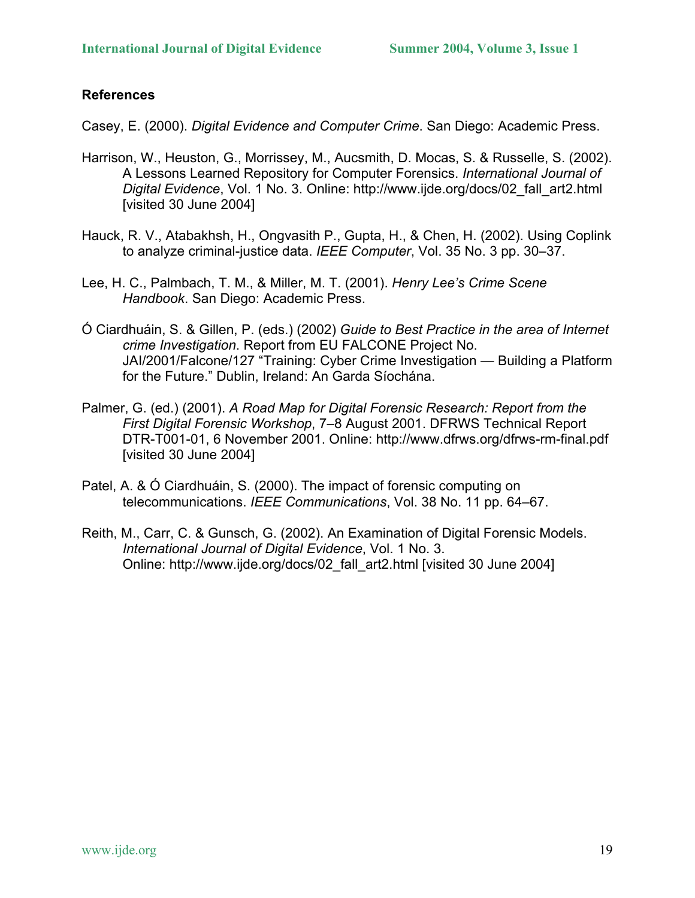# **References**

Casey, E. (2000). *Digital Evidence and Computer Crime*. San Diego: Academic Press.

- Harrison, W., Heuston, G., Morrissey, M., Aucsmith, D. Mocas, S. & Russelle, S. (2002). A Lessons Learned Repository for Computer Forensics. *International Journal of Digital Evidence*, Vol. 1 No. 3. Online: http://www.ijde.org/docs/02\_fall\_art2.html [visited 30 June 2004]
- Hauck, R. V., Atabakhsh, H., Ongvasith P., Gupta, H., & Chen, H. (2002). Using Coplink to analyze criminal-justice data. *IEEE Computer*, Vol. 35 No. 3 pp. 30–37.
- Lee, H. C., Palmbach, T. M., & Miller, M. T. (2001). *Henry Lee's Crime Scene Handbook*. San Diego: Academic Press.
- Ó Ciardhuáin, S. & Gillen, P. (eds.) (2002) *Guide to Best Practice in the area of Internet crime Investigation*. Report from EU FALCONE Project No. JAI/2001/Falcone/127 "Training: Cyber Crime Investigation — Building a Platform for the Future." Dublin, Ireland: An Garda Síochána.
- Palmer, G. (ed.) (2001). *A Road Map for Digital Forensic Research: Report from the First Digital Forensic Workshop*, 7–8 August 2001. DFRWS Technical Report DTR-T001-01, 6 November 2001. Online: http://www.dfrws.org/dfrws-rm-final.pdf [visited 30 June 2004]
- Patel, A. & Ó Ciardhuáin, S. (2000). The impact of forensic computing on telecommunications. *IEEE Communications*, Vol. 38 No. 11 pp. 64–67.
- Reith, M., Carr, C. & Gunsch, G. (2002). An Examination of Digital Forensic Models. *International Journal of Digital Evidence*, Vol. 1 No. 3. Online: http://www.ijde.org/docs/02\_fall\_art2.html [visited 30 June 2004]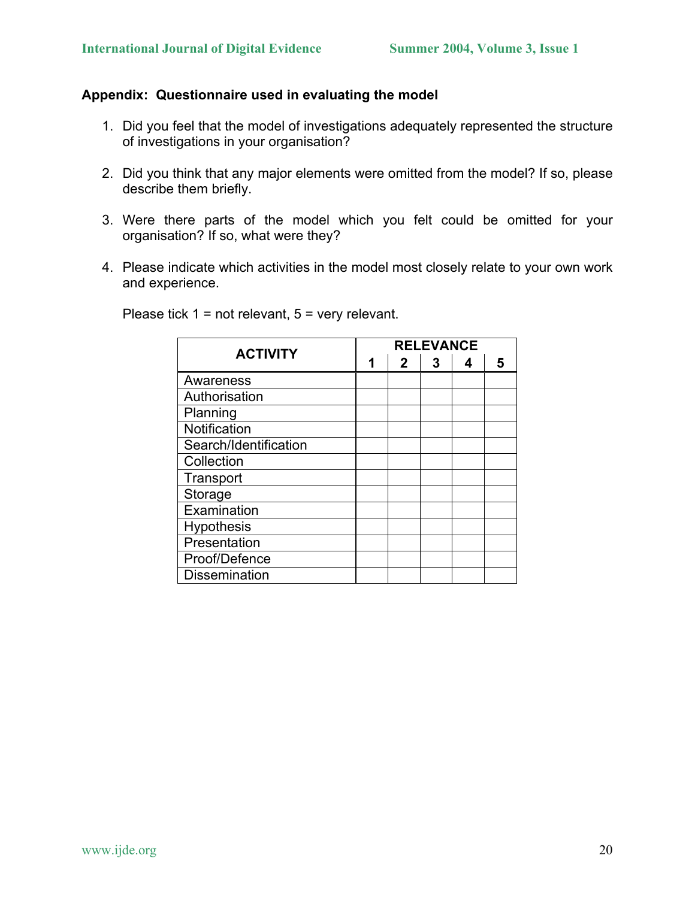# **Appendix: Questionnaire used in evaluating the model**

- 1. Did you feel that the model of investigations adequately represented the structure of investigations in your organisation?
- 2. Did you think that any major elements were omitted from the model? If so, please describe them briefly.
- 3. Were there parts of the model which you felt could be omitted for your organisation? If so, what were they?
- 4. Please indicate which activities in the model most closely relate to your own work and experience.

| <b>ACTIVITY</b>       |   | <b>RELEVANCE</b> |   |   |   |  |
|-----------------------|---|------------------|---|---|---|--|
|                       | 1 | $\mathbf{2}$     | 3 | 4 | 5 |  |
| Awareness             |   |                  |   |   |   |  |
| Authorisation         |   |                  |   |   |   |  |
| Planning              |   |                  |   |   |   |  |
| Notification          |   |                  |   |   |   |  |
| Search/Identification |   |                  |   |   |   |  |
| Collection            |   |                  |   |   |   |  |
| Transport             |   |                  |   |   |   |  |
| Storage               |   |                  |   |   |   |  |
| Examination           |   |                  |   |   |   |  |
| <b>Hypothesis</b>     |   |                  |   |   |   |  |
| Presentation          |   |                  |   |   |   |  |
| Proof/Defence         |   |                  |   |   |   |  |
| <b>Dissemination</b>  |   |                  |   |   |   |  |

Please tick 1 = not relevant, 5 = very relevant.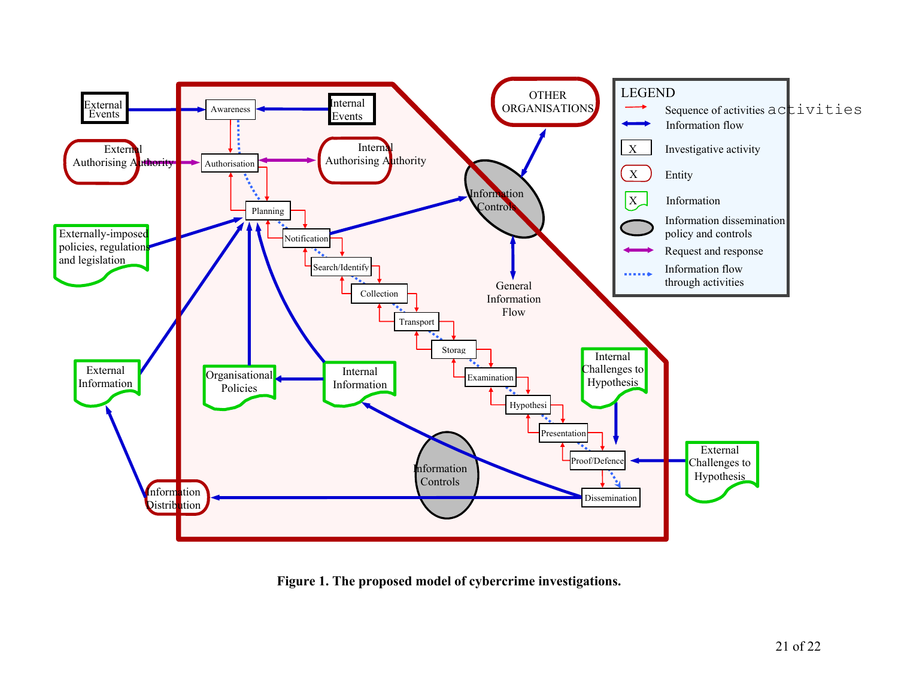

**Figure 1. The proposed model of cybercrime investigations.**